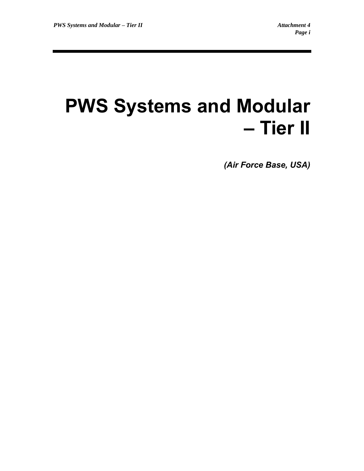# **PWS Systems and Modular – Tier II**

*(Air Force Base, USA)*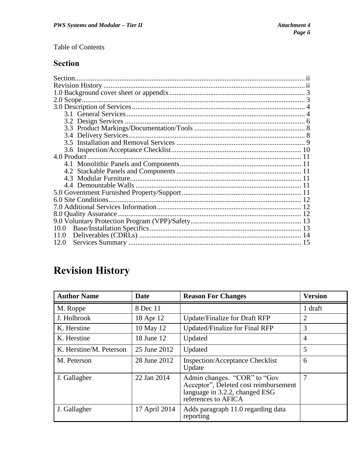#### Table of Contents

#### **Section**

| Section. |  |
|----------|--|
|          |  |
|          |  |
|          |  |
|          |  |
|          |  |
|          |  |
|          |  |
|          |  |
|          |  |
|          |  |
|          |  |
|          |  |
|          |  |
|          |  |
|          |  |
|          |  |
|          |  |
|          |  |
|          |  |
|          |  |
| 10.0     |  |
| 11.0     |  |
| 12.0     |  |

# **Revision History**

| <b>Author Name</b>      | Date          | <b>Reason For Changes</b>                                                                                                      | <b>Version</b> |
|-------------------------|---------------|--------------------------------------------------------------------------------------------------------------------------------|----------------|
| M. Roppe                | 8 Dec 11      |                                                                                                                                | 1 draft        |
| J. Holbrook             | 18 Apr 12     | <b>Update/Finalize for Draft RFP</b>                                                                                           | $\overline{2}$ |
| K. Herstine             | 10 May 12     | Updated/Finalize for Final RFP                                                                                                 | 3              |
| K. Herstine             | 18 June 12    | Updated                                                                                                                        | $\overline{4}$ |
| K. Herstine/M. Peterson | 25 June 2012  | Updated                                                                                                                        | 5              |
| M. Peterson             | 28 June 2012  | <b>Inspection/Acceptance Checklist</b><br>Update                                                                               | 6              |
| J. Gallagher            | 22 Jan 2014   | Admin changes. "COR" to "Gov<br>Acceptor", Deleted cost reimbursement<br>language in 3.2.2, changed ESG<br>references to AFICA | $\overline{7}$ |
| J. Gallagher            | 17 April 2014 | Adds paragraph 11.0 regarding data<br>reporting                                                                                |                |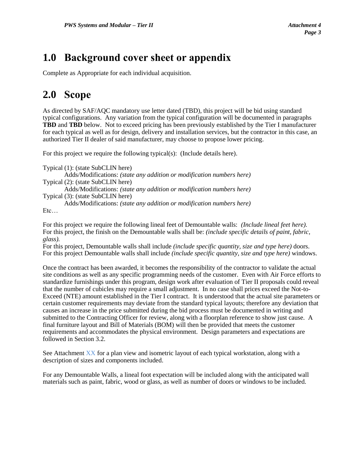### **1.0 Background cover sheet or appendix**

Complete as Appropriate for each individual acquisition.

### **2.0 Scope**

As directed by SAF/AQC mandatory use letter dated (TBD), this project will be bid using standard typical configurations. Any variation from the typical configuration will be documented in paragraphs **TBD** and **TBD** below. Not to exceed pricing has been previously established by the Tier I manufacturer for each typical as well as for design, delivery and installation services, but the contractor in this case, an authorized Tier II dealer of said manufacturer, may choose to propose lower pricing.

For this project we require the following typical(s): (Include details here).

Typical (1): (state SubCLIN here) Adds/Modifications: *(state any addition or modification numbers here)* Typical (2): (state SubCLIN here) Adds/Modifications: *(state any addition or modification numbers here)* Typical (3): (state SubCLIN here) Adds/Modifications: *(state any addition or modification numbers here)* Etc…

For this project we require the following lineal feet of Demountable walls: *(Include lineal feet here).*  For this project, the finish on the Demountable walls shall be: *(include specific details of paint, fabric, glass).* 

For this project, Demountable walls shall include *(include specific quantity, size and type here)* doors. For this project Demountable walls shall include *(include specific quantity, size and type here)* windows.

Once the contract has been awarded, it becomes the responsibility of the contractor to validate the actual site conditions as well as any specific programming needs of the customer. Even with Air Force efforts to standardize furnishings under this program, design work after evaluation of Tier II proposals could reveal that the number of cubicles may require a small adjustment. In no case shall prices exceed the Not-to-Exceed (NTE) amount established in the Tier I contract. It is understood that the actual site parameters or certain customer requirements may deviate from the standard typical layouts; therefore any deviation that causes an increase in the price submitted during the bid process must be documented in writing and submitted to the Contracting Officer for review, along with a floorplan reference to show just cause. A final furniture layout and Bill of Materials (BOM) will then be provided that meets the customer requirements and accommodates the physical environment. Design parameters and expectations are followed in Section 3.2.

See Attachment XX for a plan view and isometric layout of each typical workstation, along with a description of sizes and components included.

For any Demountable Walls, a lineal foot expectation will be included along with the anticipated wall materials such as paint, fabric, wood or glass, as well as number of doors or windows to be included.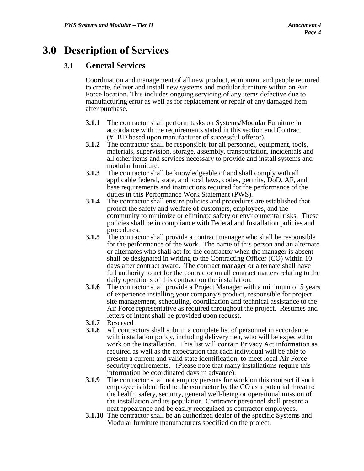### **3.0 Description of Services**

#### **3.1 General Services**

Coordination and management of all new product, equipment and people required to create, deliver and install new systems and modular furniture within an Air Force location. This includes ongoing servicing of any items defective due to manufacturing error as well as for replacement or repair of any damaged item after purchase.

- **3.1.1** The contractor shall perform tasks on Systems/Modular Furniture in accordance with the requirements stated in this section and Contract (#TBD based upon manufacturer of successful offeror).
- **3.1.2** The contractor shall be responsible for all personnel, equipment, tools, materials, supervision, storage, assembly, transportation, incidentals and all other items and services necessary to provide and install systems and modular furniture.
- **3.1.3** The contractor shall be knowledgeable of and shall comply with all applicable federal, state, and local laws, codes, permits, DoD, AF, and base requirements and instructions required for the performance of the duties in this Performance Work Statement (PWS).
- **3.1.4** The contractor shall ensure policies and procedures are established that protect the safety and welfare of customers, employees, and the community to minimize or eliminate safety or environmental risks. These policies shall be in compliance with Federal and Installation policies and procedures.
- **3.1.5** The contractor shall provide a contract manager who shall be responsible for the performance of the work. The name of this person and an alternate or alternates who shall act for the contractor when the manager is absent shall be designated in writing to the Contracting Officer (CO) within 10 days after contract award. The contract manager or alternate shall have full authority to act for the contractor on all contract matters relating to the daily operations of this contract on the installation.
- **3.1.6** The contractor shall provide a Project Manager with a minimum of 5 years of experience installing your company's product, responsible for project site management, scheduling, coordination and technical assistance to the Air Force representative as required throughout the project. Resumes and letters of intent shall be provided upon request.
- **3.1.7** Reserved **3.1.8** All contra
- **3.1.8** All contractors shall submit a complete list of personnel in accordance with installation policy, including deliverymen, who will be expected to work on the installation. This list will contain Privacy Act information as required as well as the expectation that each individual will be able to present a current and valid state identification, to meet local Air Force security requirements. (Please note that many installations require this information be coordinated days in advance).
- **3.1.9** The contractor shall not employ persons for work on this contract if such employee is identified to the contractor by the CO as a potential threat to the health, safety, security, general well-being or operational mission of the installation and its population. Contractor personnel shall present a neat appearance and be easily recognized as contractor employees.
- **3.1.10** The contractor shall be an authorized dealer of the specific Systems and Modular furniture manufacturers specified on the project.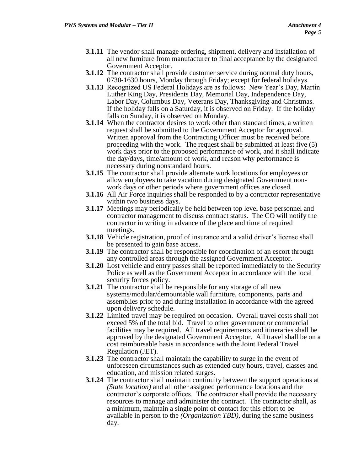- **3.1.11** The vendor shall manage ordering, shipment, delivery and installation of all new furniture from manufacturer to final acceptance by the designated Government Acceptor.
- **3.1.12** The contractor shall provide customer service during normal duty hours, 0730-1630 hours, Monday through Friday; except for federal holidays.
- **3.1.13** Recognized US Federal Holidays are as follows: New Year's Day, Martin Luther King Day, Presidents Day, Memorial Day, Independence Day, Labor Day, Columbus Day, Veterans Day, Thanksgiving and Christmas. If the holiday falls on a Saturday, it is observed on Friday. If the holiday falls on Sunday, it is observed on Monday.
- **3.1.14** When the contractor desires to work other than standard times, a written request shall be submitted to the Government Acceptor for approval. Written approval from the Contracting Officer must be received before proceeding with the work. The request shall be submitted at least five (5) work days prior to the proposed performance of work, and it shall indicate the day/days, time/amount of work, and reason why performance is necessary during nonstandard hours.
- **3.1.15** The contractor shall provide alternate work locations for employees or allow employees to take vacation during designated Government nonwork days or other periods where government offices are closed.
- **3.1.16** All Air Force inquiries shall be responded to by a contractor representative within two business days.
- **3.1.17** Meetings may periodically be held between top level base personnel and contractor management to discuss contract status. The CO will notify the contractor in writing in advance of the place and time of required meetings.
- **3.1.18** Vehicle registration, proof of insurance and a valid driver's license shall be presented to gain base access.
- **3.1.19** The contractor shall be responsible for coordination of an escort through any controlled areas through the assigned Government Acceptor.
- **3.1.20** Lost vehicle and entry passes shall be reported immediately to the Security Police as well as the Government Acceptor in accordance with the local security forces policy.
- **3.1.21** The contractor shall be responsible for any storage of all new systems/modular/demountable wall furniture, components, parts and assemblies prior to and during installation in accordance with the agreed upon delivery schedule.
- **3.1.22** Limited travel may be required on occasion. Overall travel costs shall not exceed 5% of the total bid. Travel to other government or commercial facilities may be required. All travel requirements and itineraries shall be approved by the designated Government Acceptor. All travel shall be on a cost reimbursable basis in accordance with the Joint Federal Travel Regulation (JET).
- **3.1.23** The contractor shall maintain the capability to surge in the event of unforeseen circumstances such as extended duty hours, travel, classes and education, and mission related surges.
- **3.1.24** The contractor shall maintain continuity between the support operations at *(State location)* and all other assigned performance locations and the contractor's corporate offices. The contractor shall provide the necessary resources to manage and administer the contract. The contractor shall, as a minimum, maintain a single point of contact for this effort to be available in person to the *(Organization TBD)*, during the same business day.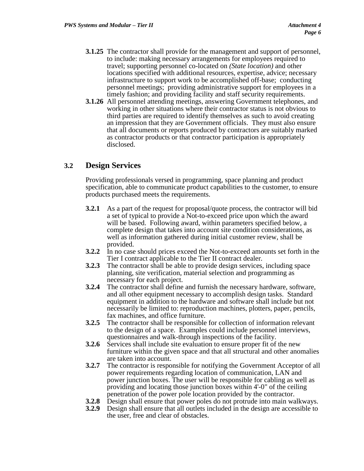- **3.1.25** The contractor shall provide for the management and support of personnel, to include: making necessary arrangements for employees required to travel; supporting personnel co-located on *(State location)* and other locations specified with additional resources, expertise, advice; necessary infrastructure to support work to be accomplished off-base; conducting personnel meetings; providing administrative support for employees in a timely fashion; and providing facility and staff security requirements.
- **3.1.26** All personnel attending meetings, answering Government telephones, and working in other situations where their contractor status is not obvious to third parties are required to identify themselves as such to avoid creating an impression that they are Government officials. They must also ensure that all documents or reports produced by contractors are suitably marked as contractor products or that contractor participation is appropriately disclosed.

#### **3.2 Design Services**

Providing professionals versed in programming, space planning and product specification, able to communicate product capabilities to the customer, to ensure products purchased meets the requirements.

- **3.2.1** As a part of the request for proposal/quote process, the contractor will bid a set of typical to provide a Not-to-exceed price upon which the award will be based. Following award, within parameters specified below, a complete design that takes into account site condition considerations, as well as information gathered during initial customer review, shall be provided.
- **3.2.2** In no case should prices exceed the Not-to-exceed amounts set forth in the Tier I contract applicable to the Tier II contract dealer.
- **3.2.3** The contractor shall be able to provide design services, including space planning, site verification, material selection and programming as necessary for each project.
- **3.2.4** The contractor shall define and furnish the necessary hardware, software, and all other equipment necessary to accomplish design tasks. Standard equipment in addition to the hardware and software shall include but not necessarily be limited to: reproduction machines, plotters, paper, pencils, fax machines, and office furniture.
- **3.2.5** The contractor shall be responsible for collection of information relevant to the design of a space. Examples could include personnel interviews, questionnaires and walk-through inspections of the facility.
- **3.2.6** Services shall include site evaluation to ensure proper fit of the new furniture within the given space and that all structural and other anomalies are taken into account.
- **3.2.7** The contractor is responsible for notifying the Government Acceptor of all power requirements regarding location of communication, LAN and power junction boxes. The user will be responsible for cabling as well as providing and locating those junction boxes within 4'-0" of the ceiling penetration of the power pole location provided by the contractor.
- **3.2.8** Design shall ensure that power poles do not protrude into main walkways.<br>**3.2.9** Design shall ensure that all outlets included in the design are accessible to
- **3.2.9** Design shall ensure that all outlets included in the design are accessible to the user, free and clear of obstacles.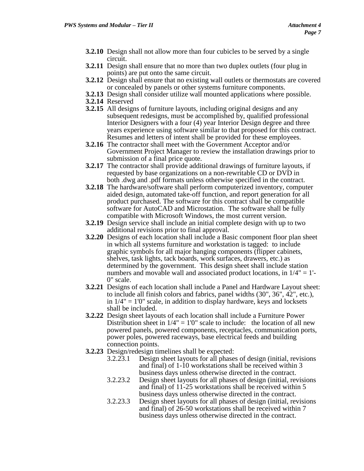- **3.2.10** Design shall not allow more than four cubicles to be served by a single circuit.
- **3.2.11** Design shall ensure that no more than two duplex outlets (four plug in points) are put onto the same circuit.
- **3.2.12** Design shall ensure that no existing wall outlets or thermostats are covered or concealed by panels or other systems furniture components.
- **3.2.13** Design shall consider utilize wall mounted applications where possible.
- **3.2.14** Reserved
- **3.2.15** All designs of furniture layouts, including original designs and any subsequent redesigns, must be accomplished by, qualified professional Interior Designers with a four (4) year Interior Design degree and three years experience using software similar to that proposed for this contract. Resumes and letters of intent shall be provided for these employees.
- **3.2.16** The contractor shall meet with the Government Acceptor and/or Government Project Manager to review the installation drawings prior to submission of a final price quote.
- **3.2.17** The contractor shall provide additional drawings of furniture layouts, if requested by base organizations on a non-rewritable CD or DVD in both .dwg and .pdf formats unless otherwise specified in the contract.
- **3.2.18** The hardware/software shall perform computerized inventory, computer aided design, automated take-off function, and report generation for all product purchased. The software for this contract shall be compatible software for AutoCAD and Microstation. The software shall be fully compatible with Microsoft Windows, the most current version.
- **3.2.19** Design service shall include an initial complete design with up to two additional revisions prior to final approval.
- **3.2.20** Designs of each location shall include a Basic component floor plan sheet in which all systems furniture and workstation is tagged: to include graphic symbols for all major hanging components (flipper cabinets, shelves, task lights, tack boards, work surfaces, drawers, etc.) as determined by the government. This design sheet shall include station numbers and movable wall and associated product locations, in  $1/4" = 1'$ -0" scale.
- **3.2.21** Designs of each location shall include a Panel and Hardware Layout sheet: to include all finish colors and fabrics, panel widths (30", 36", 42", etc.), in  $1/4$ " = 1'0" scale, in addition to display hardware, keys and locksets shall be included.
- **3.2.22** Design sheet layouts of each location shall include a Furniture Power Distribution sheet in  $1/4$ " = 1'0" scale to include: the location of all new powered panels, powered components, receptacles, communication ports, power poles, powered raceways, base electrical feeds and building connection points.
- **3.2.23** Design/redesign timelines shall be expected:
	- 3.2.23.1 Design sheet layouts for all phases of design (initial, revisions and final) of 1-10 workstations shall be received within 3 business days unless otherwise directed in the contract.
	- 3.2.23.2 Design sheet layouts for all phases of design (initial, revisions and final) of 11-25 workstations shall be received within 5 business days unless otherwise directed in the contract.
	- 3.2.23.3 Design sheet layouts for all phases of design (initial, revisions and final) of 26-50 workstations shall be received within 7 business days unless otherwise directed in the contract.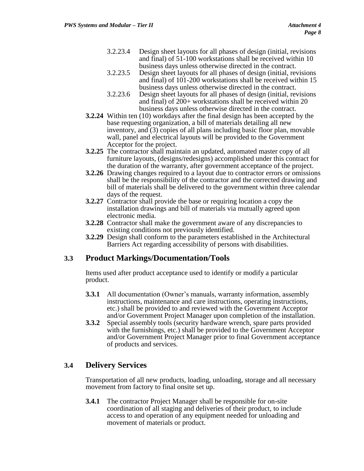- 3.2.23.4 Design sheet layouts for all phases of design (initial, revisions and final) of 51-100 workstations shall be received within 10 business days unless otherwise directed in the contract.
- 3.2.23.5 Design sheet layouts for all phases of design (initial, revisions and final) of 101-200 workstations shall be received within 15 business days unless otherwise directed in the contract.
- 3.2.23.6 Design sheet layouts for all phases of design (initial, revisions and final) of 200+ workstations shall be received within 20 business days unless otherwise directed in the contract.
- **3.2.24** Within ten (10) workdays after the final design has been accepted by the base requesting organization, a bill of materials detailing all new inventory, and (3) copies of all plans including basic floor plan, movable wall, panel and electrical layouts will be provided to the Government Acceptor for the project.
- **3.2.25** The contractor shall maintain an updated, automated master copy of all furniture layouts, (designs/redesigns) accomplished under this contract for the duration of the warranty, after government acceptance of the project.
- **3.2.26** Drawing changes required to a layout due to contractor errors or omissions shall be the responsibility of the contractor and the corrected drawing and bill of materials shall be delivered to the government within three calendar days of the request.
- **3.2.27** Contractor shall provide the base or requiring location a copy the installation drawings and bill of materials via mutually agreed upon electronic media.
- **3.2.28** Contractor shall make the government aware of any discrepancies to existing conditions not previously identified.
- **3.2.29** Design shall conform to the parameters established in the Architectural Barriers Act regarding accessibility of persons with disabilities.

#### **3.3 Product Markings/Documentation/Tools**

Items used after product acceptance used to identify or modify a particular product.

- **3.3.1** All documentation (Owner's manuals, warranty information, assembly instructions, maintenance and care instructions, operating instructions, etc.) shall be provided to and reviewed with the Government Acceptor and/or Government Project Manager upon completion of the installation.
- **3.3.2** Special assembly tools (security hardware wrench, spare parts provided with the furnishings, etc.) shall be provided to the Government Acceptor and/or Government Project Manager prior to final Government acceptance of products and services.

#### **3.4 Delivery Services**

Transportation of all new products, loading, unloading, storage and all necessary movement from factory to final onsite set up.

**3.4.1** The contractor Project Manager shall be responsible for on-site coordination of all staging and deliveries of their product, to include access to and operation of any equipment needed for unloading and movement of materials or product.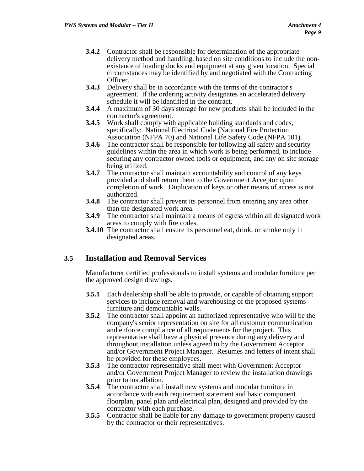- **3.4.2** Contractor shall be responsible for determination of the appropriate delivery method and handling, based on site conditions to include the nonexistence of loading docks and equipment at any given location. Special circumstances may be identified by and negotiated with the Contracting Officer.
- **3.4.3** Delivery shall be in accordance with the terms of the contractor's agreement. If the ordering activity designates an accelerated delivery schedule it will be identified in the contract.
- **3.4.4** A maximum of 30 days storage for new products shall be included in the contractor's agreement.
- **3.4.5** Work shall comply with applicable building standards and codes, specifically: National Electrical Code (National Fire Protection Association (NFPA 70) and National Life Safety Code (NFPA 101).
- **3.4.6** The contractor shall be responsible for following all safety and security guidelines within the area in which work is being performed, to include securing any contractor owned tools or equipment, and any on site storage being utilized.
- **3.4.7** The contractor shall maintain accountability and control of any keys provided and shall return them to the Government Acceptor upon completion of work. Duplication of keys or other means of access is not authorized.
- **3.4.8** The contractor shall prevent its personnel from entering any area other than the designated work area.
- **3.4.9** The contractor shall maintain a means of egress within all designated work areas to comply with fire codes.
- **3.4.10** The contractor shall ensure its personnel eat, drink, or smoke only in designated areas.

#### **3.5 Installation and Removal Services**

Manufacturer certified professionals to install systems and modular furniture per the approved design drawings.

- **3.5.1** Each dealership shall be able to provide, or capable of obtaining support services to include removal and warehousing of the proposed systems furniture and demountable walls.
- **3.5.2** The contractor shall appoint an authorized representative who will be the company's senior representation on site for all customer communication and enforce compliance of all requirements for the project. This representative shall have a physical presence during any delivery and throughout installation unless agreed to by the Government Acceptor and/or Government Project Manager. Resumes and letters of intent shall be provided for these employees.
- **3.5.3** The contractor representative shall meet with Government Acceptor and/or Government Project Manager to review the installation drawings prior to installation.
- **3.5.4** The contractor shall install new systems and modular furniture in accordance with each requirement statement and basic component floorplan, panel plan and electrical plan, designed and provided by the contractor with each purchase.
- **3.5.5** Contractor shall be liable for any damage to government property caused by the contractor or their representatives.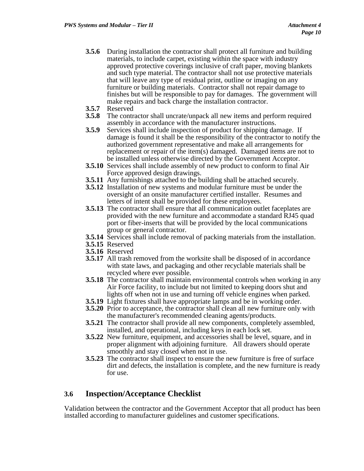- **3.5.6** During installation the contractor shall protect all furniture and building materials, to include carpet, existing within the space with industry approved protective coverings inclusive of craft paper, moving blankets and such type material. The contractor shall not use protective materials that will leave any type of residual print, outline or imaging on any furniture or building materials. Contractor shall not repair damage to finishes but will be responsible to pay for damages. The government will make repairs and back charge the installation contractor.
- **3.5.7** Reserved
- **3.5.8** The contractor shall uncrate/unpack all new items and perform required assembly in accordance with the manufacturer instructions.
- **3.5.9** Services shall include inspection of product for shipping damage. If damage is found it shall be the responsibility of the contractor to notify the authorized government representative and make all arrangements for replacement or repair of the item(s) damaged. Damaged items are not to be installed unless otherwise directed by the Government Acceptor.
- **3.5.10** Services shall include assembly of new product to conform to final Air Force approved design drawings.
- **3.5.11** Any furnishings attached to the building shall be attached securely.
- **3.5.12** Installation of new systems and modular furniture must be under the oversight of an onsite manufacturer certified installer. Resumes and letters of intent shall be provided for these employees.
- **3.5.13** The contractor shall ensure that all communication outlet faceplates are provided with the new furniture and accommodate a standard RJ45 quad port or fiber-inserts that will be provided by the local communications group or general contractor.
- **3.5.14** Services shall include removal of packing materials from the installation.
- **3.5.15** Reserved
- **3.5.16** Reserved
- **3.5.17** All trash removed from the worksite shall be disposed of in accordance with state laws, and packaging and other recyclable materials shall be recycled where ever possible.
- **3.5.18** The contractor shall maintain environmental controls when working in any Air Force facility, to include but not limited to keeping doors shut and lights off when not in use and turning off vehicle engines when parked.
- **3.5.19** Light fixtures shall have appropriate lamps and be in working order.
- **3.5.20** Prior to acceptance, the contractor shall clean all new furniture only with the manufacturer's recommended cleaning agents/products.
- **3.5.21** The contractor shall provide all new components, completely assembled, installed, and operational, including keys in each lock set.
- **3.5.22** New furniture, equipment, and accessories shall be level, square, and in proper alignment with adjoining furniture. All drawers should operate smoothly and stay closed when not in use.
- **3.5.23** The contractor shall inspect to ensure the new furniture is free of surface dirt and defects, the installation is complete, and the new furniture is ready for use.

#### **3.6 Inspection/Acceptance Checklist**

Validation between the contractor and the Government Acceptor that all product has been installed according to manufacturer guidelines and customer specifications.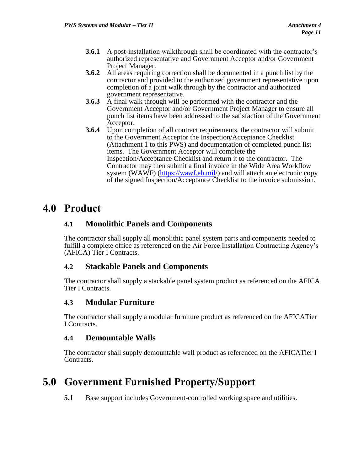- **3.6.1** A post-installation walkthrough shall be coordinated with the contractor's authorized representative and Government Acceptor and/or Government Project Manager.
- **3.6.2** All areas requiring correction shall be documented in a punch list by the contractor and provided to the authorized government representative upon completion of a joint walk through by the contractor and authorized government representative.
- **3.6.3** A final walk through will be performed with the contractor and the Government Acceptor and/or Government Project Manager to ensure all punch list items have been addressed to the satisfaction of the Government Acceptor.
- **3.6.4** Upon completion of all contract requirements, the contractor will submit to the Government Acceptor the Inspection/Acceptance Checklist (Attachment 1 to this PWS) and documentation of completed punch list items. The Government Acceptor will complete the Inspection/Acceptance Checklist and return it to the contractor. The Contractor may then submit a final invoice in the Wide Area Workflow system (WAWF) [\(https://wawf.eb.mil/](http://www.wawf.eb.mil/)) and will attach an electronic copy of the signed Inspection/Acceptance Checklist to the invoice submission.

### **4.0 Product**

#### **4.1 Monolithic Panels and Components**

The contractor shall supply all monolithic panel system parts and components needed to fulfill a complete office as referenced on the Air Force Installation Contracting Agency's (AFICA) Tier I Contracts.

#### **4.2 Stackable Panels and Components**

The contractor shall supply a stackable panel system product as referenced on the AFICA Tier I Contracts.

#### **4.3 Modular Furniture**

The contractor shall supply a modular furniture product as referenced on the AFICATier I Contracts.

#### **4.4 Demountable Walls**

The contractor shall supply demountable wall product as referenced on the AFICATier I Contracts.

### **5.0 Government Furnished Property/Support**

**5.1** Base support includes Government-controlled working space and utilities.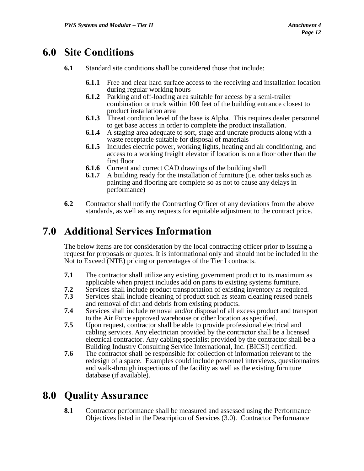### **6.0 Site Conditions**

- **6.1** Standard site conditions shall be considered those that include:
	- **6.1.1** Free and clear hard surface access to the receiving and installation location during regular working hours
	- **6.1.2** Parking and off-loading area suitable for access by a semi-trailer combination or truck within 100 feet of the building entrance closest to product installation area
	- **6.1.3** Threat condition level of the base is Alpha. This requires dealer personnel to get base access in order to complete the product installation.
	- **6.1.4** A staging area adequate to sort, stage and uncrate products along with a waste receptacle suitable for disposal of materials
	- **6.1.5** Includes electric power, working lights, heating and air conditioning, and access to a working freight elevator if location is on a floor other than the first floor
	- **6.1.6** Current and correct CAD drawings of the building shell
	- **6.1.7** A building ready for the installation of furniture (i.e. other tasks such as painting and flooring are complete so as not to cause any delays in performance)
- **6.2** Contractor shall notify the Contracting Officer of any deviations from the above standards, as well as any requests for equitable adjustment to the contract price.

### **7.0 Additional Services Information**

The below items are for consideration by the local contracting officer prior to issuing a request for proposals or quotes. It is informational only and should not be included in the Not to Exceed (NTE) pricing or percentages of the Tier I contracts.

- **7.1** The contractor shall utilize any existing government product to its maximum as applicable when project includes add on parts to existing systems furniture.
- **7.2** Services shall include product transportation of existing inventory as required.<br>**7.3** Services shall include cleaning of product such as steam cleaning reused panels
- **7.3** Services shall include cleaning of product such as steam cleaning reused panels and removal of dirt and debris from existing products.
- **7.4** Services shall include removal and/or disposal of all excess product and transport to the Air Force approved warehouse or other location as specified.
- **7.5** Upon request, contractor shall be able to provide professional electrical and cabling services. Any electrician provided by the contractor shall be a licensed electrical contractor. Any cabling specialist provided by the contractor shall be a Building Industry Consulting Service International, Inc. (BICSI) certified.
- **7.6** The contractor shall be responsible for collection of information relevant to the redesign of a space. Examples could include personnel interviews, questionnaires and walk-through inspections of the facility as well as the existing furniture database (if available).

### **8.0 Quality Assurance**

**8.1** Contractor performance shall be measured and assessed using the Performance Objectives listed in the Description of Services (3.0). Contractor Performance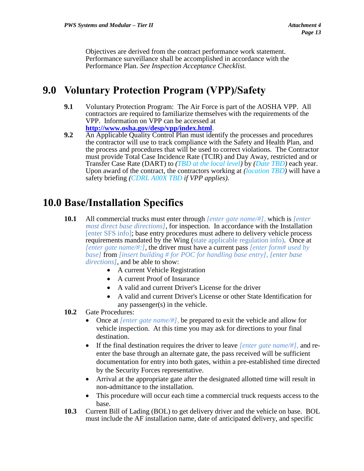Objectives are derived from the contract performance work statement. Performance surveillance shall be accomplished in accordance with the Performance Plan. *See Inspection Acceptance Checklist.*

### **9.0 Voluntary Protection Program (VPP)/Safety**

- **9.1** Voluntary Protection Program: The Air Force is part of the AOSHA VPP. All contractors are required to familiarize themselves with the requirements of the VPP. Information on VPP can be accessed at **<http://www.osha.gov/desp/vpp/index.html>**.
- **9.2** An Applicable Quality Control Plan must identify the processes and procedures the contractor will use to track compliance with the Safety and Health Plan, and the process and procedures that will be used to correct violations. The Contractor must provide Total Case Incidence Rate (TCIR) and Day Away, restricted and or Transfer Case Rate (DART) to *(TBD at the local level)* by *(Date TBD)* each year. Upon award of the contract, the contractors working at *(location TBD)* will have a safety briefing *(CDRL A00X TBD if VPP applies).*

### **10.0 Base/Installation Specifics**

- **10.1** All commercial trucks must enter through *[enter gate name/#],* which is *[enter most direct base directions]*, for inspection. In accordance with the Installation [enter SFS info]; base entry procedures must adhere to delivery vehicle process requirements mandated by the Wing (state applicable regulation info). Once at *[enter gate name/#:]*, the driver must have a current pass *[enter form# used by base]* from *[insert building # for POC for handling base entry], [enter base directions]*, and be able to show:
	- A current Vehicle Registration
	- A current Proof of Insurance
	- A valid and current Driver's License for the driver
	- A valid and current Driver's License or other State Identification for any passenger(s) in the vehicle.
- **10.2** Gate Procedures:
	- Once at *[enter gate name/#],* be prepared to exit the vehicle and allow for vehicle inspection. At this time you may ask for directions to your final destination.
	- If the final destination requires the driver to leave *[enter gate name/#],* and reenter the base through an alternate gate, the pass received will be sufficient documentation for entry into both gates, within a pre-established time directed by the Security Forces representative.
	- Arrival at the appropriate gate after the designated allotted time will result in non-admittance to the installation.
	- This procedure will occur each time a commercial truck requests access to the base.
- **10.3** Current Bill of Lading (BOL) to get delivery driver and the vehicle on base. BOL must include the AF installation name, date of anticipated delivery, and specific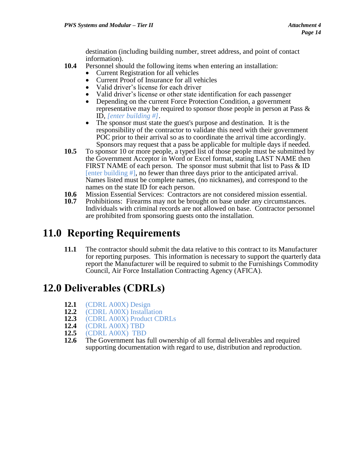destination (including building number, street address, and point of contact information).

- **10.4** Personnel should the following items when entering an installation:
	- Current Registration for all vehicles
	- Current Proof of Insurance for all vehicles
	- Valid driver's license for each driver
	- Valid driver's license or other state identification for each passenger
	- Depending on the current Force Protection Condition, a government representative may be required to sponsor those people in person at Pass & ID, *[enter building #]*.
	- The sponsor must state the guest's purpose and destination. It is the responsibility of the contractor to validate this need with their government POC prior to their arrival so as to coordinate the arrival time accordingly. Sponsors may request that a pass be applicable for multiple days if needed.
- **10.5** To sponsor 10 or more people, a typed list of those people must be submitted by the Government Acceptor in Word or Excel format, stating LAST NAME then FIRST NAME of each person. The sponsor must submit that list to Pass & ID [enter building #], no fewer than three days prior to the anticipated arrival. Names listed must be complete names, (no nicknames), and correspond to the names on the state ID for each person.
- **10.6** Mission Essential Services: Contractors are not considered mission essential.
- **10.7** Prohibitions: Firearms may not be brought on base under any circumstances. Individuals with criminal records are not allowed on base. Contractor personnel are prohibited from sponsoring guests onto the installation.

### **11.0 Reporting Requirements**

**11.1** The contractor should submit the data relative to this contract to its Manufacturer for reporting purposes. This information is necessary to support the quarterly data report the Manufacturer will be required to submit to the Furnishings Commodity Council, Air Force Installation Contracting Agency (AFICA).

### **12.0 Deliverables (CDRLs)**

- 12.1 (CDRL A00X) Design<br>12.2 (CDRL A00X) Installa
- **12.2** (CDRL A00X) Installation
- **12.3** (CDRL A00X) Product CDRLs<br>**12.4** (CDRL A00X) TBD
- **12.4** (CDRL A00X) TBD<br>**12.5** (CDRL A00X) TBD
- **12.5** (CDRL A00X) TBD<br>**12.6** The Government has
- **12.6** The Government has full ownership of all formal deliverables and required supporting documentation with regard to use, distribution and reproduction.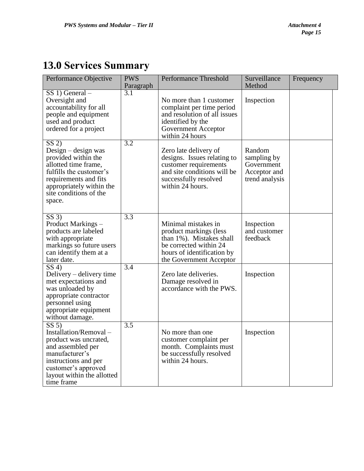# **13.0 Services Summary**

| Performance Objective                                                                                                                                                                                               | <b>PWS</b><br>Paragraph | <b>Performance Threshold</b>                                                                                                                                 | Surveillance<br>Method                                                | Frequency |
|---------------------------------------------------------------------------------------------------------------------------------------------------------------------------------------------------------------------|-------------------------|--------------------------------------------------------------------------------------------------------------------------------------------------------------|-----------------------------------------------------------------------|-----------|
| $SS$ 1) General $-$<br>Oversight and<br>accountability for all<br>people and equipment<br>used and product<br>ordered for a project                                                                                 | 3.1                     | No more than 1 customer<br>complaint per time period<br>and resolution of all issues<br>identified by the<br><b>Government Acceptor</b><br>within 24 hours   | Inspection                                                            |           |
| $\overline{\text{SS }2)}$<br>Design - design was<br>provided within the<br>allotted time frame,<br>fulfills the customer's<br>requirements and fits<br>appropriately within the<br>site conditions of the<br>space. | 3.2                     | Zero late delivery of<br>designs. Issues relating to<br>customer requirements<br>and site conditions will be<br>successfully resolved<br>within 24 hours.    | Random<br>sampling by<br>Government<br>Acceptor and<br>trend analysis |           |
| SS3)<br>Product Markings -<br>products are labeled<br>with appropriate<br>markings so future users<br>can identify them at a<br>later date.                                                                         | $\overline{3.3}$        | Minimal mistakes in<br>product markings (less<br>than 1%). Mistakes shall<br>be corrected within 24<br>hours of identification by<br>the Government Acceptor | Inspection<br>and customer<br>feedback                                |           |
| SS <sub>4</sub><br>Delivery – delivery time<br>met expectations and<br>was unloaded by<br>appropriate contractor<br>personnel using<br>appropriate equipment<br>without damage.                                     | $\overline{3.4}$        | Zero late deliveries.<br>Damage resolved in<br>accordance with the PWS.                                                                                      | Inspection                                                            |           |
| SS 5<br>Installation/Removal-<br>product was uncrated.<br>and assembled per<br>manufacturer's<br>instructions and per<br>customer's approved<br>layout within the allotted<br>time frame                            | 3.5                     | No more than one<br>customer complaint per<br>month. Complaints must<br>be successfully resolved<br>within 24 hours.                                         | Inspection                                                            |           |